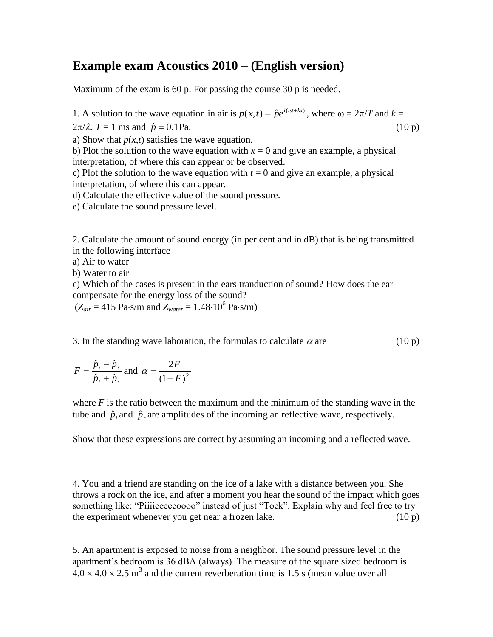## **Example exam Acoustics 2010 – (English version)**

Maximum of the exam is 60 p. For passing the course 30 p is needed.

1. A solution to the wave equation in air is  $p(x,t) = \hat{p}e^{i(\omega t + kx)}$ , where  $\omega = 2\pi/T$  and  $k =$ 

 $2\pi/\lambda$ .  $T = 1$  ms and  $\hat{p} = 0.1$ Pa.  $(10 \text{ p})$ 

a) Show that  $p(x,t)$  satisfies the wave equation.

b) Plot the solution to the wave equation with  $x = 0$  and give an example, a physical interpretation, of where this can appear or be observed.

c) Plot the solution to the wave equation with  $t = 0$  and give an example, a physical interpretation, of where this can appear.

d) Calculate the effective value of the sound pressure.

e) Calculate the sound pressure level.

2. Calculate the amount of sound energy (in per cent and in dB) that is being transmitted in the following interface

a) Air to water

b) Water to air

c) Which of the cases is present in the ears tranduction of sound? How does the ear compensate for the energy loss of the sound?

 $(Z_{air} = 415 \text{ Pa} \cdot \text{s/m} \text{ and } Z_{water} = 1.48 \cdot 10^6 \text{ Pa} \cdot \text{s/m})$ 

3. In the standing wave laboration, the formulas to calculate  $\alpha$  are (10 p)

$$
F = \frac{\hat{p}_i - \hat{p}_r}{\hat{p}_i + \hat{p}_r}
$$
 and  $\alpha = \frac{2F}{(1 + F)^2}$ 

where  $F$  is the ratio between the maximum and the minimum of the standing wave in the tube and  $\hat{p}_i$  and  $\hat{p}_r$  are amplitudes of the incoming an reflective wave, respectively.

Show that these expressions are correct by assuming an incoming and a reflected wave.

4. You and a friend are standing on the ice of a lake with a distance between you. She throws a rock on the ice, and after a moment you hear the sound of the impact which goes something like: "Piiiieeeeeoooo" instead of just "Tock". Explain why and feel free to try the experiment whenever you get near a frozen lake.  $(10 p)$ 

5. An apartment is exposed to noise from a neighbor. The sound pressure level in the apartment's bedroom is 36 dBA (always). The measure of the square sized bedroom is  $4.0 \times 4.0 \times 2.5$  m<sup>3</sup> and the current reverberation time is 1.5 s (mean value over all